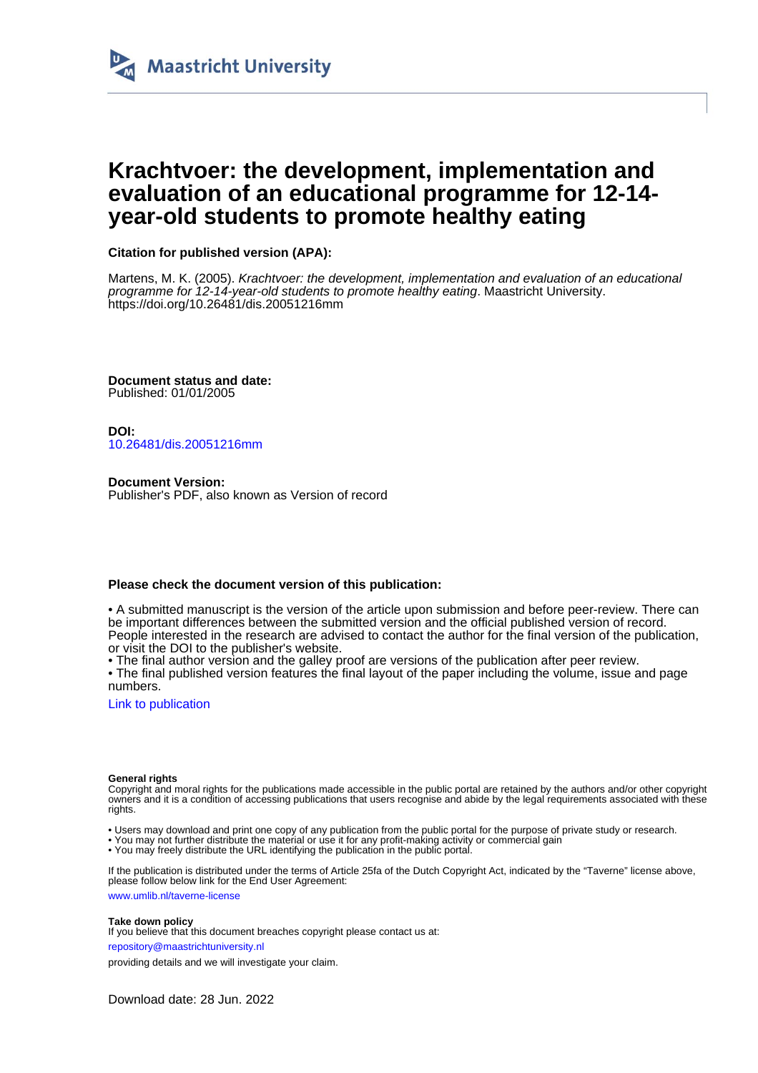

## **Krachtvoer: the development, implementation and evaluation of an educational programme for 12-14 year-old students to promote healthy eating**

### **Citation for published version (APA):**

Martens, M. K. (2005). Krachtvoer: the development, implementation and evaluation of an educational programme for 12-14-year-old students to promote healthy eating. Maastricht University. <https://doi.org/10.26481/dis.20051216mm>

**Document status and date:** Published: 01/01/2005

**DOI:** [10.26481/dis.20051216mm](https://doi.org/10.26481/dis.20051216mm)

**Document Version:** Publisher's PDF, also known as Version of record

### **Please check the document version of this publication:**

• A submitted manuscript is the version of the article upon submission and before peer-review. There can be important differences between the submitted version and the official published version of record. People interested in the research are advised to contact the author for the final version of the publication, or visit the DOI to the publisher's website.

• The final author version and the galley proof are versions of the publication after peer review.

• The final published version features the final layout of the paper including the volume, issue and page numbers.

[Link to publication](https://cris.maastrichtuniversity.nl/en/publications/3496373e-e4ae-4aa0-b273-b43ce850b2c5)

#### **General rights**

Copyright and moral rights for the publications made accessible in the public portal are retained by the authors and/or other copyright owners and it is a condition of accessing publications that users recognise and abide by the legal requirements associated with these rights.

- Users may download and print one copy of any publication from the public portal for the purpose of private study or research.
- You may not further distribute the material or use it for any profit-making activity or commercial gain
- You may freely distribute the URL identifying the publication in the public portal

If the publication is distributed under the terms of Article 25fa of the Dutch Copyright Act, indicated by the "Taverne" license above, please follow below link for the End User Agreement:

www.umlib.nl/taverne-license

#### **Take down policy**

If you believe that this document breaches copyright please contact us at:

repository@maastrichtuniversity.nl

providing details and we will investigate your claim.

Download date: 28 Jun. 2022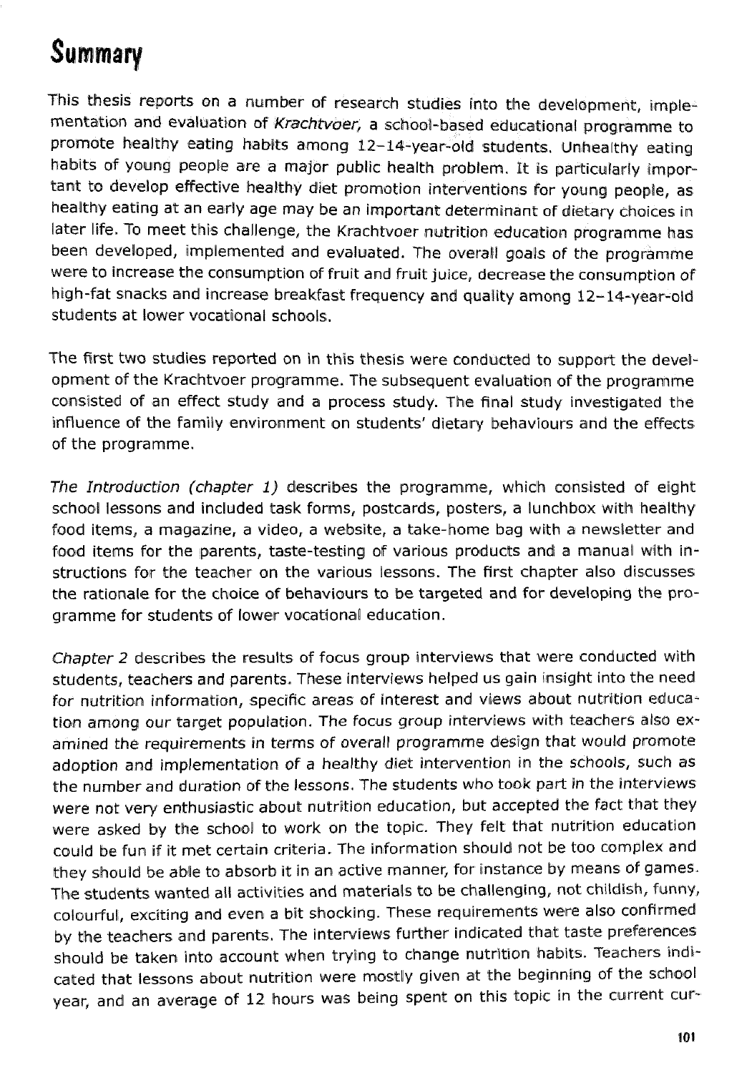# Summary

This thesis reports on a number of research studies into the development, implementation and evaluation of Krachtvoer, a school-based educational programme to promote healthy eating hablts among 12-14-year-old students. Unhealthy eating habits of young people are a major public health problem. It is particularly important to develop effective healthy diet promotion interventions for young people, as healthy eating at an early age may be an important determinant of dietary choices in later life. To meet this challenge, the Krachtvoer nutrition education programme has been developed, implemented and evaluated. The overall goals of the programme were to increase the consumption of fruit and fruit juice, decrease the consumption of high-fat snacks and increase breakfast frequency and quality among 12-14-year-old students at lower vocational schools.

The first two studies reported on in this thesis were conducted to support the development of the Krachtvoer programme. The subsequent evaluation of the programme consisted of an effect study and a process study. The final study investigated the influence of the family environment on students' dietary behaviours and the effects of the programme.

The Introduction (chapter 1) describes the programme, which consisted of eight school lessons and included task forms, postcards, posters, a lunchbox with healthy food items, a magazine, a video, a website, a take-home bag with a newsletter and food items for the parents, taste-testing of various products and a manual with instructions for the teacher on the various lessons. The first chapter also discusses the rationale for the choice of behaviours to be targeted and for developing the programme for students of lower vocational education.

Chapter 2 describes the results of focus group interviews that were conducted with students, teachers and parents. These interviews helped us gain insight into the need for nutrition information, specific areas of interest and views about nutrition education among our target population. The focus group interviews with teachers also examined the requirements in terms of averall programme design that would promote adoption and implementation of a healthy diet intervention in the schools, such as the number and duration af the lessons. The students who **took** part in the interviews were not very enthusiastic about nutrition education, but accepted the fact that they were asked by the school to work on the topic. They felt that nutrition education could be fun if it met certain criteria. The information should not be too complex and they should be able to absorb it in an active manner, for instance by means of games. The students wanted all activities and materials to be challenging, not childish, funny, colawrful, exciting and even a bit shocking. These requirements were also confirmed by the teachers and parents. The interviews further indicated that taste preferences should be taken into account when trying to change nutrition habits. Teachers indicated that lessons about nutrition were mostly given at the beginning of the school year, and an average of 12 hours was being spent on this topic in the current cur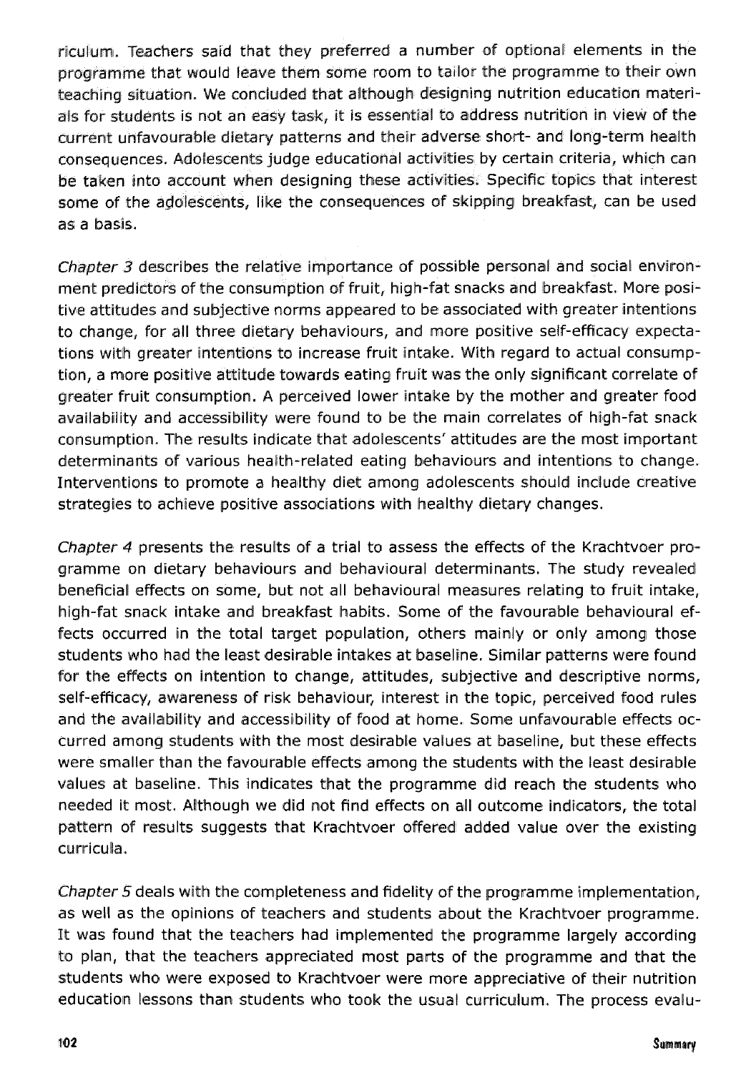riculum~, Teachers said that they preferred a number **OF** optjonal elements In the programme that would leave them some room to tallor the programme to their own teaching situation. We concluded that although designing nutrition education materials for students is not an easy task, it is essential to address nutrition in view of the current unfavourable dietary patterns and their adverse short- and long-term health consequences. Adolescents judge educational activities by certain criteria, whlich can be taken into account when designing these activities. Specific topics that interest some of the adolescents, like the consequences of skipping breakfast, can be used as a basis.

*Chapter*  $3$  *describes the relative importance of possible personal and social environ*ment predictors of the consumption of fruit, high-fat snacks and breakfast. More positive attitudes and subjective norms appeared to be associated with greater intentions to change, for all three dietary behaviours, and more positive self-efficacy expectations with greater intentions to increase fruit intake. With regard to actual consumption, a more positive attitude towards eating fruit was the only significant correlate of greater fruit consumption. A perceived lower intake by the mother and greater food availability and accessibility were found to be the main correlates of high-fat snack consumption. The results indicate that adolescents' attitudes are the most important determinants of various health-related eating behaviours and intentions to change. Interventions to promote a healthy diet among adolescents should include creative strategies to achieve positive associations with heallthy dietary changes.

Chapter 4 presents the results of a trial to assess the effects of the Krachtvoer programme on dietary behaviours and behavioural determinants. The study revealed1 beneficial effects on some, but not all behavioural measures relating to fruit intake, high-fat snack intake and breakfast habits. Some of the favourable behavioural effects occurred in the total target population, others mainly or only among those students who had the least desirable intakes at baseline. Similar patterns were found for the effects on intention to change, attitudes, subjective and descriptive norms, self-efficacy, awareness of risk behaviour, interest in the topic, perceived food rules and the availability and accessibility of food at home. Some unfavourable effects occurred among students with the most desirable values at baseline, but these effects were smaller than the favourable effects among the students with the least desirable values at baseline. This indicates that the programme did reach the students who needed it most. Although we did not find effects on all outcome indicators, the total pattern of results suggests that Krachtvoer offered added value over the existing curricula.

Chapter 5 deals with the completeness and fidelity of the programme implementation, as well as the opinions of teachers and students about the Krachtvoer programme. It was found that the teachers had implemented the programme largely according to plan, that the teachers appreciated most parts of the programme and that the students who were exposed to Krachtvoer were more appreciative of their nutrition education lessons than students who took the usual curriculum. The process evalu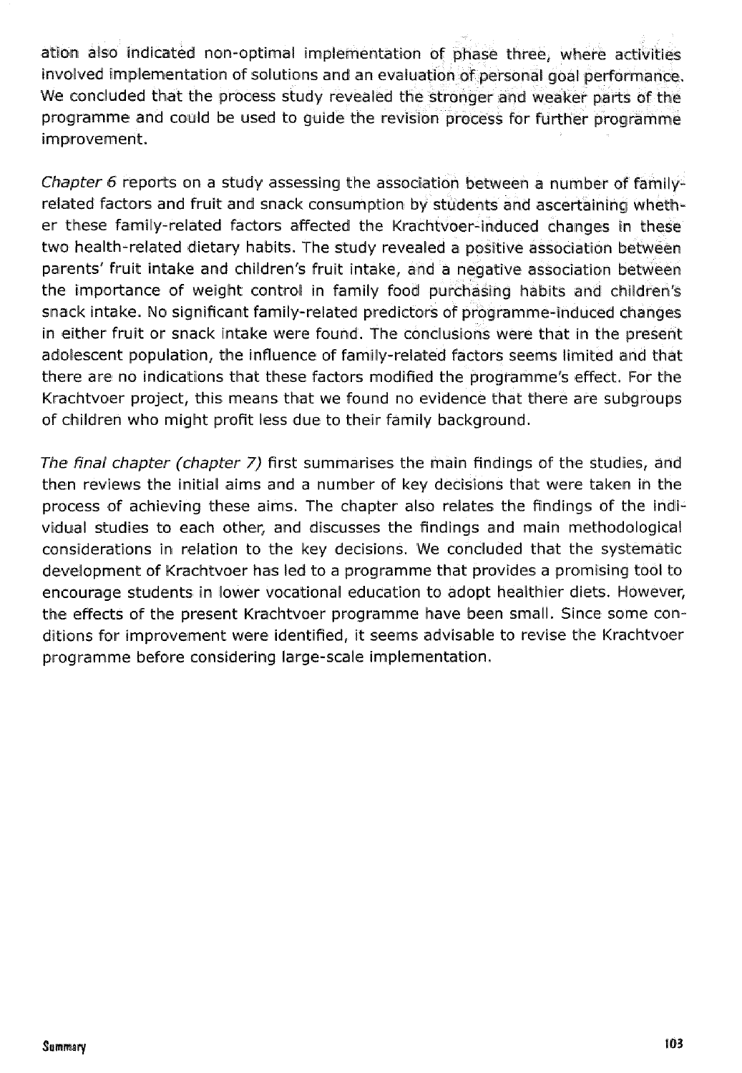ation also indicated non-optimal implementation of phase three, where activities involved implementation of solutions and an evaluation of personal goal performance. We concluded that the process study revealed the stronger and weaker parts of the programme and could be used to guide the revision process for fulrther programme improvement.

*Chapter* 6 reports on a study assessing the association between a number of familyrelated factors and fruit and snack consumption by students and ascertaining whether these family-related factors affected the Krachtvoer-induced changes in these two health-related dietary habits. The study revealed a positive association between parents' fruit intake and children's fruit intake, and a negative association between the importance of weight control in family food purchasing habits and children's sinack intake, No significant family-related predictors of programme-induced changes in either fruit or snack intake were found. The conclusions were that in the present adolescent population, the influence of family-related factors seems limited and that there are no indications that these factors modified the programme's effect. For the Krachtvoer project, this means that we found no evidence that there are subgroups of children who might profit less due to their family background.

*The final chapter (chapter 7)* first summarises the main findings of the studies, and then reviews the initial aims and a number of key decisions that were taken in the process of achieving these aims. The chapter also relates the findings of the Individual studies to each other, and discusses the findings and main methodological considerations in relation to the key decisions. We concluded that the systematic development of Krachtvoer has led to a programme that provides a promising tool to encourage students in lower vocational education to adopt healthier diets. However, the effects of the present Krachtvoer programme have been small. Since some conditions for improvement were identified, it seems advisable to revise the Krachtvoer programme before considering large-scale implementation.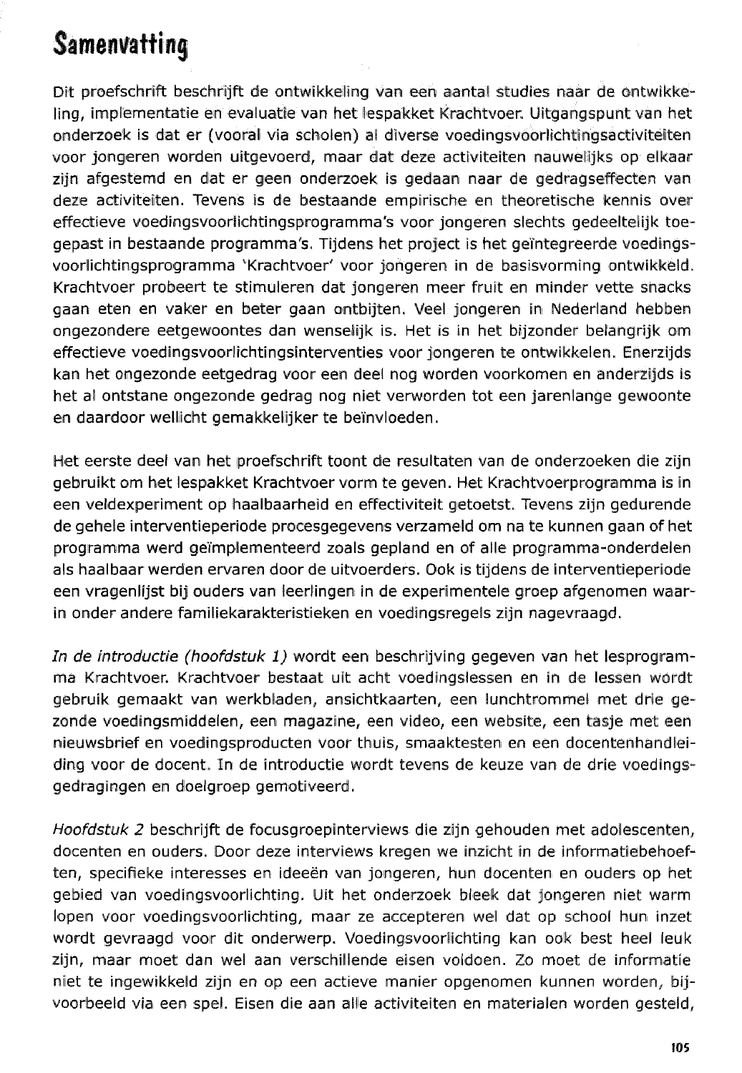# **Samenvatting**

Dit proefschrift beschrijft de ontwikkeling van een aantal studies naar de ontwikkeling, implementatie en evaluatie van het lespakket Krachtvoer. Uitgangspunt van het onderzoek is dat er (vooral via scholen) al dive~rse **voedingsvoorlichtingsactivlteiten**  voor jongleren worden uitgevoerd, maar dat deze activiteiten nauwelijks op elkaar zijn afgestemd en dat er geen onderzoek is gedaan naar de gedragseffecten van deze activiteiten. Tevens is de bestaande empirische en theoretische kennis over effectieve voedingsvoorlichtingsprogramma's voor jongeren slechts gedeeltelijk toegepast in bestaande programma's. Tijdens het project is het geïntegreerde voedingsvoorlichtingsprogramma 'Krachtvoer' voor jongeren in de basisvorming ontwikkeld. Krachtvoer probeert te stimuleren dat jongeren meer fruit en minder vette snacks gaan eten en vaker en beter gaan ontbijten. Veel jongeren in Nederland hebben ongezondere eetgewoontes dan wenselijk is. Het is in het bijzonder belangrijk om effectieve voedingsvoorlichtingsinterventies voor jongeren te ontwikkelen. Enerzijds kan het ongezonde eetgedrag voor een deel nog worden voorkomen en anderzijds is het al ontstane ongezonde gedrag nog niet verworden tot een jarenlange gewoonte en daardoor wellicht gernakkellijker te beïnvloeden.

Het eerste deel van het proefschrift toont de resultaten van de onderzoeken die zijn gebruikt om het lespakket Krachtvoer vorm te geven. Het Krachtvoerprogramma is in een veldexperiment op haalbaarheid en effectiviteit getoetst. Tevens zijn gedurende de gehele interventieperiode procesgegevens verzameld om na te kunnen gaan of het programma werd geïmplementeerd zoals gepland en of alle programma-onderdelen als haalbaar werden ervaren door de uitvoerders. Ook is tijdens de interventieperiode een vragenlijst bij ouders van leerlingen in de experimentele groep afgenomen waarin onder andere familiekarakteristieken en voedingsregels zijn nagevraagd.

*In* de introductie *(hoofdstuk d)* wordt een beschrijving giegeven van het lesprogramma Krachtvoer. Krachtvoer bestaat uit acht voedingslessen en in de Iessen wordt gebruik gemaakt van werkbladen, ansichtkaarten, een lunchtrommel met drie gezonde voedingsmiddelen, een magazine, een video, een website, een tasje met een nieuwsbrief en voedingsproducten voor thuis, smaaktesten en een docentenhandleiding woor de docent. In de introductie wordt tevens de keuze van de drie voedingsgedragingen en doelgroep gemotiveerd.

Hoofdstuk 2 beschrijft de focusgroepinterviews die zijn gehouden met adolescenten, docenten en ouders. Door deze interviews kregen we inzicht in de informatiebehoeften, specifieke interesses en ideeen wan jongeren, hun docenten en ouders op het gebied van vaedingsvoorlichting. Ulit het onderzoek bleek dat jongeren niet warm lopen voor voedingsvoorlichting, maar ze accepteren wel dat op school hun inzet wordt gevraagd voor dit onderwerp. Voedingsvoorlichting kan ook best heel leuk zijn, maar moet dan wel aan verschillende eisen voldoen. Zo moet de informatie niet te ingewikkeld zijn en op een actieve manier opgenomen kunnen worden, bijvoorbeeld via een spel. Eisen die aan alle activiteiten en materialen worden gesteld,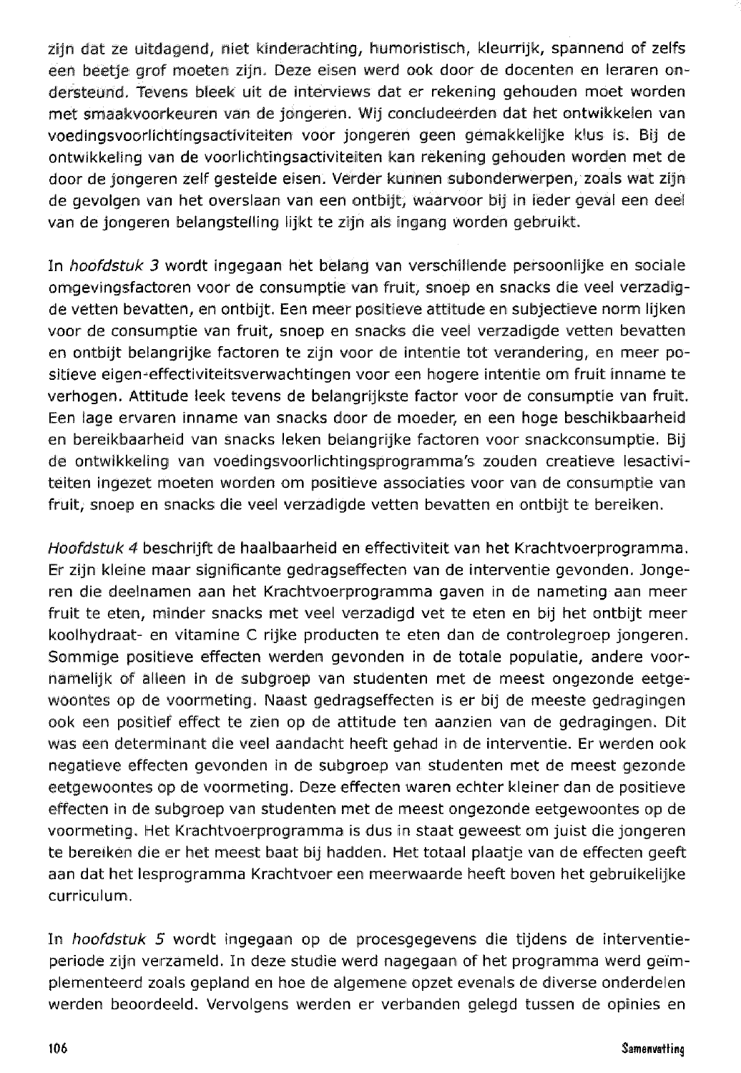zijn dat ze uitdagend, niet kinderachting, humoristisch, kleurrijk, spannend of zelfs een beetje grof moeten zijn. Deze eisen werd ook door de docenten en leraren ondersteund. Tevens bleek uit de interviews dat er rekening gehouden moet worden met smaakvooskeuren valn de jongeren. Wij concludeerden dat het ontwikkelen van voedingsvoorlichtingsactiviteiten voor jongeren geen gemakkelijke klus is. Bij de ontwikkeling van de voorlichtingsactiviteiten kan rekening gehouden worden met de doos de jongeren zelf gestelde eisen. Verder kunnen swbondewerpen, zoals wat zijn de gevalgen van het overslaan van een ontbijt, waarvoor bij in ieder gewal een deel van de jongeren belangstelling lijkt te zijn als ingang worden gebruikt.

In hoofdstuk 3 wordt ingegaan het belang van verschillende persoonlijke en sociale omgevingsfactoren voor de consumptie van fruit, snoep en snacks die veel verzadigde vetten bevatten, en ontbijt. Een meer positieve attitude en subjectieve norm lijken voor de consumptie van fruit, snoep en snacks die veel verzadigde vetten bevatten en ontbijt belangrijke factoren te zijn voor de intentie tot verandering, en meer positieve eigen-effectiviteitsverwachtingen voor een hogere intentie om fruit inname te verhogen. Attitude leek tevens de belangrijkste factor voor de consumptie van fruit. Een lage ervaren inname van snacks door de moeder, en een hoge beschikbaarheid en bereikbaarheid van snacks leken belangrijke factoren voor snackconsumptie. Bij de ontwikkeling van voedingsvoorlichtingsprogramma's zouden creatieve lesactiviteiten ingezet moeten worden om positieve associaties voor van de consumptie van Fruit, snoep en snacks die veel verzadigde vetten bevatten en ontbijt te bereiken.

*Hoofdstuk* 4 beschrijft de haalbaarheid en effectiviteit van het Krachtvoerprogramma. Er zijn kleine maar significante gedragseffecten van de interventie gevonden. Jongeren die deelnamen aan het Krachtvoerprogramma gaven in de nameting aan meer fruit te eten, minder snacks met veel verzadigd vet te eten en bij het ontbijt meer koolhydraat- en vitamine C rijke producten te eten dan de controlegroep jongeren. Sommige positieve effecten werden gevonden in de totale populatie, andere voornamelijk of alleen in de subgroep van studenten met de meest ongezonde eetgewoontes op de voormeting. Naast gedragseffecten is er bij de meeste gedragingen ook een positief effect te zien op de attitude ten aanzien van de gedragingen. Dit was een determinant die veel aandacht heeft gehad in de interventie. Er werden ook negatieve effecten gevonden in de subgroep van studenten met de meest gezonde eetgewoontes op de voormeting. Deze effecten waren echter kleiner dan de positieve effecten in de subgroep van studenten met de meest ongezonde eetgewoontes op de voormeting. Met Krachtvoerprogramma is dus in staat geweest om juist die jongeren te bereiken die er het meest baat bij hadden. Het totaal plaatje van de effecten geeft aan dat het lesprogramma Krachtvoer een meerwaarde heeft boven het gebruikelijke curriculum.

In hoofdstuk 5 wordt ingegaan op de procesgegevens die tijdens de interventieperiode zijn verzameld. In deze studie werd nagegaan of het programma werd geïmplementeerd zoals gepland en hoe de algemene opzet evenals de diverse onderdelen werden beoordeeld. Vervolgens werden er verbanden gelegd tussen de opinies en